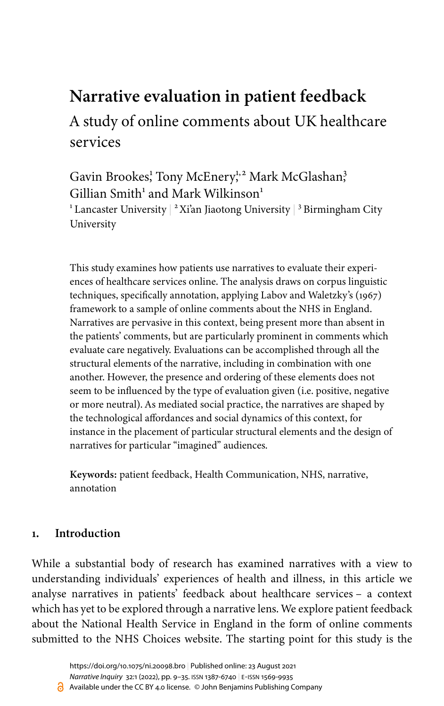# **Narrative evaluation in patient feedback**

A study of online comments about UK healthcare services

Gavin Brookes<sup>1</sup>, Tony McEnery<sup>1,2</sup> Mark McGlashan<sup>3</sup>  $Gillian Smith<sup>1</sup>$  and Mark Wilkinson<sup>1</sup>

 $^{\rm 1}$  Lancaster University  $|^{\rm 2}$  Xi'an Jiaotong University  $|^{\rm 3}$  Birmingham City University

This study examines how patients use narratives to evaluate their experiences of healthcare services online. The analysis draws on corpus linguistic techniques, specifically annotation, applying [Labov and Waletzky's \(1967\)](#page-24-0) framework to a sample of online comments about the NHS in England. Narratives are pervasive in this context, being present more than absent in the patients' comments, but are particularly prominent in comments which evaluate care negatively. Evaluations can be accomplished through all the structural elements of the narrative, including in combination with one another. However, the presence and ordering of these elements does not seem to be influenced by the type of evaluation given (i.e. positive, negative or more neutral). As mediated social practice, the narratives are shaped by the technological affordances and social dynamics of this context, for instance in the placement of particular structural elements and the design of narratives for particular "imagined" audiences.

**Keywords:** patient feedback, Health Communication, NHS, narrative, annotation

# **1. Introduction**

While a substantial body of research has examined narratives with a view to understanding individuals' experiences of health and illness, in this article we analyse narratives in patients' feedback about healthcare services – a context which has yet to be explored through a narrative lens. We explore patient feedback about the National Health Service in England in the form of online comments submitted to the NHS Choices website. The starting point for this study is the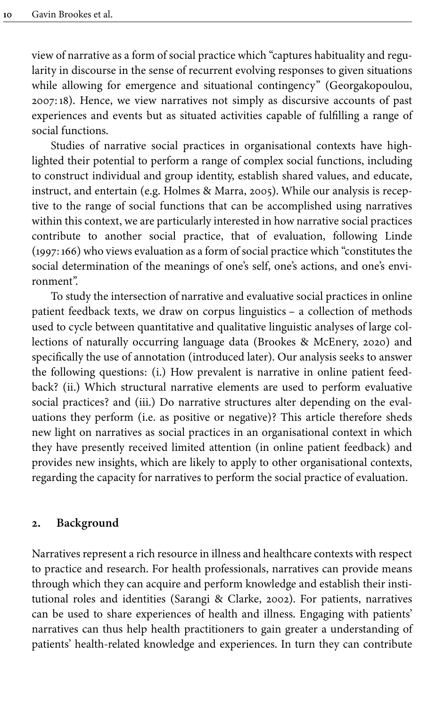view of narrative as a form of social practice which "captures habituality and regularity in discourse in the sense of recurrent evolving responses to given situations while allowing for emergence and situational contingency" ([Georgakopoulou,](#page-24-1) [2007:](#page-24-1)18). Hence, we view narratives not simply as discursive accounts of past experiences and events but as situated activities capable of fulfilling a range of social functions.

Studies of narrative social practices in organisational contexts have highlighted their potential to perform a range of complex social functions, including to construct individual and group identity, establish shared values, and educate, instruct, and entertain (e.g. [Holmes & Marra, 2005](#page-24-2)). While our analysis is receptive to the range of social functions that can be accomplished using narratives within this context, we are particularly interested in how narrative social practices contribute to another social practice, that of evaluation, following Linde [\(1997](#page-25-0):166) who views evaluation as a form of social practice which "constitutes the social determination of the meanings of one's self, one's actions, and one's environment".

To study the intersection of narrative and evaluative social practices in online patient feedback texts, we draw on corpus linguistics – a collection of methods used to cycle between quantitative and qualitative linguistic analyses of large collections of naturally occurring language data [\(Brookes & McEnery, 2020\)](#page-24-3) and specifically the use of annotation (introduced later). Our analysis seeks to answer the following questions: (i.) How prevalent is narrative in online patient feedback? (ii.) Which structural narrative elements are used to perform evaluative social practices? and (iii.) Do narrative structures alter depending on the evaluations they perform (i.e. as positive or negative)? This article therefore sheds new light on narratives as social practices in an organisational context in which they have presently received limited attention (in online patient feedback) and provides new insights, which are likely to apply to other organisational contexts, regarding the capacity for narratives to perform the social practice of evaluation.

## **2. Background**

Narratives represent a rich resource in illness and healthcare contexts with respect to practice and research. For health professionals, narratives can provide means through which they can acquire and perform knowledge and establish their institutional roles and identities ([Sarangi & Clarke, 2002](#page-25-1)). For patients, narratives can be used to share experiences of health and illness. Engaging with patients' narratives can thus help health practitioners to gain greater a understanding of patients' health-related knowledge and experiences. In turn they can contribute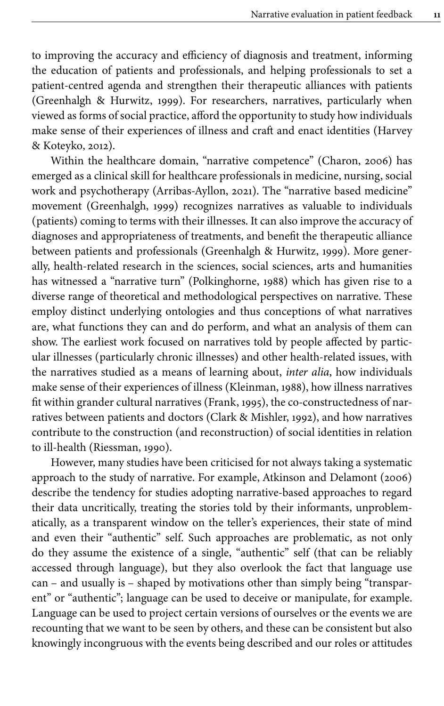to improving the accuracy and efficiency of diagnosis and treatment, informing the education of patients and professionals, and helping professionals to set a patient-centred agenda and strengthen their therapeutic alliances with patients [\(Greenhalgh & Hurwitz, 1999\)](#page-24-4). For researchers, narratives, particularly when viewed as forms of social practice, afford the opportunity to study how individuals make sense of their experiences of illness and craft and enact identities [\(Harvey](#page-24-5) [& Koteyko, 2012\)](#page-24-5).

Within the healthcare domain, "narrative competence" ([Charon, 2006](#page-24-6)) has emerged as a clinical skill for healthcare professionals in medicine, nursing, social work and psychotherapy [\(Arribas-Ayllon, 2021\)](#page-23-0). The "narrative based medicine" movement [\(Greenhalgh, 1999\)](#page-24-7) recognizes narratives as valuable to individuals (patients) coming to terms with their illnesses. It can also improve the accuracy of diagnoses and appropriateness of treatments, and benefit the therapeutic alliance between patients and professionals ([Greenhalgh & Hurwitz, 1999\)](#page-24-4). More generally, health-related research in the sciences, social sciences, arts and humanities has witnessed a "narrative turn" [\(Polkinghorne, 1988\)](#page-25-2) which has given rise to a diverse range of theoretical and methodological perspectives on narrative. These employ distinct underlying ontologies and thus conceptions of what narratives are, what functions they can and do perform, and what an analysis of them can show. The earliest work focused on narratives told by people affected by particular illnesses (particularly chronic illnesses) and other health-related issues, with the narratives studied as a means of learning about, *inter alia*, how individuals make sense of their experiences of illness ([Kleinman, 1988\)](#page-24-8), how illness narratives fit within grander cultural narratives [\(Frank, 1995\)](#page-24-9), the co-constructedness of narratives between patients and doctors [\(Clark & Mishler, 1992](#page-24-10)), and how narratives contribute to the construction (and reconstruction) of social identities in relation to ill-health [\(Riessman, 1990\)](#page-25-3).

However, many studies have been criticised for not always taking a systematic approach to the study of narrative. For example, [Atkinson and Delamont \(2006\)](#page-23-1) describe the tendency for studies adopting narrative-based approaches to regard their data uncritically, treating the stories told by their informants, unproblematically, as a transparent window on the teller's experiences, their state of mind and even their "authentic" self. Such approaches are problematic, as not only do they assume the existence of a single, "authentic" self (that can be reliably accessed through language), but they also overlook the fact that language use can – and usually is – shaped by motivations other than simply being "transparent" or "authentic"; language can be used to deceive or manipulate, for example. Language can be used to project certain versions of ourselves or the events we are recounting that we want to be seen by others, and these can be consistent but also knowingly incongruous with the events being described and our roles or attitudes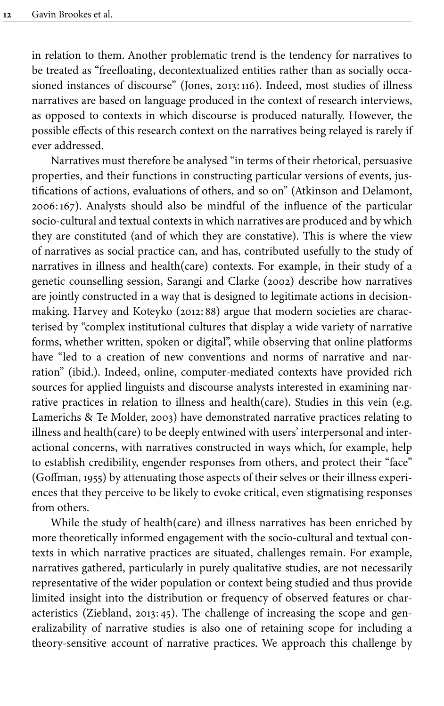in relation to them. Another problematic trend is the tendency for narratives to be treated as "freefloating, decontextualized entities rather than as socially occasioned instances of discourse" ([Jones, 2013](#page-24-11):116). Indeed, most studies of illness narratives are based on language produced in the context of research interviews, as opposed to contexts in which discourse is produced naturally. However, the possible effects of this research context on the narratives being relayed is rarely if ever addressed.

Narratives must therefore be analysed "in terms of their rhetorical, persuasive properties, and their functions in constructing particular versions of events, justifications of actions, evaluations of others, and so on" ([Atkinson and Delamont,](#page-23-1) [2006](#page-23-1):167). Analysts should also be mindful of the influence of the particular socio-cultural and textual contexts in which narratives are produced and by which they are constituted (and of which they are constative). This is where the view of narratives as social practice can, and has, contributed usefully to the study of narratives in illness and health(care) contexts. For example, in their study of a genetic counselling session, [Sarangi and Clarke \(2002\)](#page-25-1) describe how narratives are jointly constructed in a way that is designed to legitimate actions in decisionmaking. Harvey and Koteyko [\(2012](#page-24-5):88) argue that modern societies are characterised by "complex institutional cultures that display a wide variety of narrative forms, whether written, spoken or digital", while observing that online platforms have "led to a creation of new conventions and norms of narrative and narration" (ibid.). Indeed, online, computer-mediated contexts have provided rich sources for applied linguists and discourse analysts interested in examining narrative practices in relation to illness and health(care). Studies in this vein (e.g. [Lamerichs & Te Molder, 2003\)](#page-24-12) have demonstrated narrative practices relating to illness and health(care) to be deeply entwined with users' interpersonal and interactional concerns, with narratives constructed in ways which, for example, help to establish credibility, engender responses from others, and protect their "face" [\(Goffman, 1955\)](#page-24-13) by attenuating those aspects of their selves or their illness experiences that they perceive to be likely to evoke critical, even stigmatising responses from others.

While the study of health(care) and illness narratives has been enriched by more theoretically informed engagement with the socio-cultural and textual contexts in which narrative practices are situated, challenges remain. For example, narratives gathered, particularly in purely qualitative studies, are not necessarily representative of the wider population or context being studied and thus provide limited insight into the distribution or frequency of observed features or characteristics [\(Ziebland, 2013](#page-25-4):45). The challenge of increasing the scope and generalizability of narrative studies is also one of retaining scope for including a theory-sensitive account of narrative practices. We approach this challenge by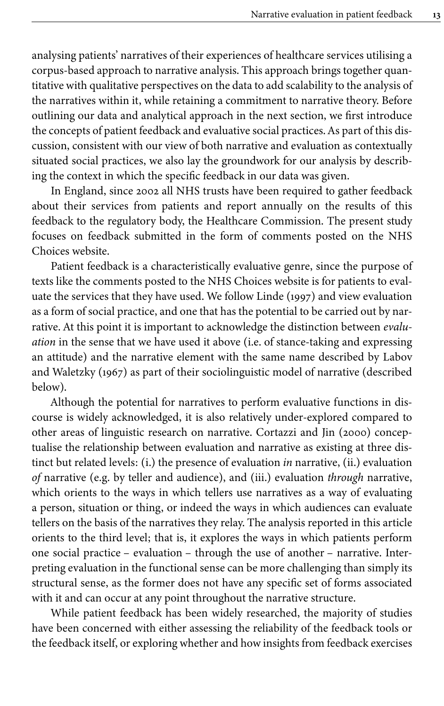analysing patients' narratives of their experiences of healthcare services utilising a corpus-based approach to narrative analysis. This approach brings together quantitative with qualitative perspectives on the data to add scalability to the analysis of the narratives within it, while retaining a commitment to narrative theory. Before outlining our data and analytical approach in the next section, we first introduce the concepts of patient feedback and evaluative social practices. As part of this discussion, consistent with our view of both narrative and evaluation as contextually situated social practices, we also lay the groundwork for our analysis by describing the context in which the specific feedback in our data was given.

In England, since 2002 all NHS trusts have been required to gather feedback about their services from patients and report annually on the results of this feedback to the regulatory body, the Healthcare Commission. The present study focuses on feedback submitted in the form of comments posted on the NHS Choices website.

Patient feedback is a characteristically evaluative genre, since the purpose of texts like the comments posted to the NHS Choices website is for patients to evaluate the services that they have used. We follow [Linde \(1997\)](#page-25-0) and view evaluation as a form of social practice, and one that has the potential to be carried out by narrative. At this point it is important to acknowledge the distinction between *evaluation* in the sense that we have used it above (i.e. of stance-taking and expressing an attitude) and the narrative element with the same name described by [Labov](#page-24-0) [and Waletzky \(1967\)](#page-24-0) as part of their sociolinguistic model of narrative (described below).

Although the potential for narratives to perform evaluative functions in discourse is widely acknowledged, it is also relatively under-explored compared to other areas of linguistic research on narrative. [Cortazzi and Jin \(2000\)](#page-24-14) conceptualise the relationship between evaluation and narrative as existing at three distinct but related levels: (i.) the presence of evaluation *in* narrative, (ii.) evaluation *of* narrative (e.g. by teller and audience), and (iii.) evaluation *through* narrative, which orients to the ways in which tellers use narratives as a way of evaluating a person, situation or thing, or indeed the ways in which audiences can evaluate tellers on the basis of the narratives they relay. The analysis reported in this article orients to the third level; that is, it explores the ways in which patients perform one social practice – evaluation – through the use of another – narrative. Interpreting evaluation in the functional sense can be more challenging than simply its structural sense, as the former does not have any specific set of forms associated with it and can occur at any point throughout the narrative structure.

While patient feedback has been widely researched, the majority of studies have been concerned with either assessing the reliability of the feedback tools or the feedback itself, or exploring whether and how insights from feedback exercises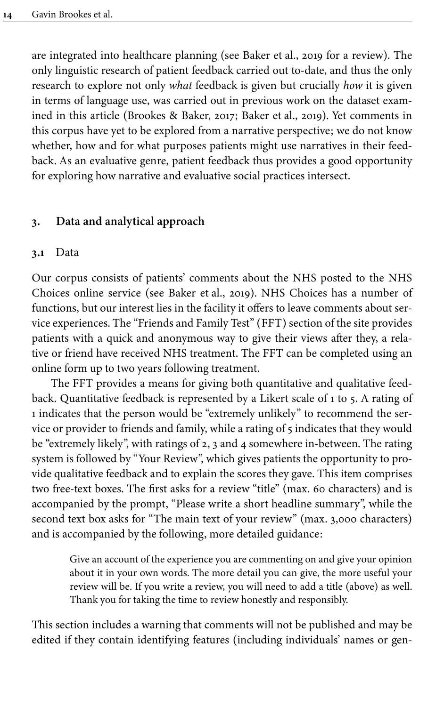are integrated into healthcare planning (see [Baker et](#page-23-2) al., 2019 for a review). The only linguistic research of patient feedback carried out to-date, and thus the only research to explore not only *what* feedback is given but crucially *how* it is given in terms of language use, was carried out in previous work on the dataset examined in this article ([Brookes & Baker, 2017;](#page-23-3) [Baker et](#page-23-2) al., 2019). Yet comments in this corpus have yet to be explored from a narrative perspective; we do not know whether, how and for what purposes patients might use narratives in their feedback. As an evaluative genre, patient feedback thus provides a good opportunity for exploring how narrative and evaluative social practices intersect.

# **3. Data and analytical approach**

## **3.1** Data

Our corpus consists of patients' comments about the NHS posted to the NHS Choices online service (see [Baker et](#page-23-2) al., 2019). NHS Choices has a number of functions, but our interest lies in the facility it offers to leave comments about service experiences. The "Friends and Family Test" (FFT) section of the site provides patients with a quick and anonymous way to give their views after they, a relative or friend have received NHS treatment. The FFT can be completed using an online form up to two years following treatment.

The FFT provides a means for giving both quantitative and qualitative feedback. Quantitative feedback is represented by a Likert scale of 1 to 5. A rating of 1 indicates that the person would be "extremely unlikely" to recommend the service or provider to friends and family, while a rating of 5 indicates that they would be "extremely likely", with ratings of 2, 3 and 4 somewhere in-between. The rating system is followed by "Your Review", which gives patients the opportunity to provide qualitative feedback and to explain the scores they gave. This item comprises two free-text boxes. The first asks for a review "title" (max. 60 characters) and is accompanied by the prompt, "Please write a short headline summary", while the second text box asks for "The main text of your review" (max. 3,000 characters) and is accompanied by the following, more detailed guidance:

> Give an account of the experience you are commenting on and give your opinion about it in your own words. The more detail you can give, the more useful your review will be. If you write a review, you will need to add a title (above) as well. Thank you for taking the time to review honestly and responsibly.

This section includes a warning that comments will not be published and may be edited if they contain identifying features (including individuals' names or gen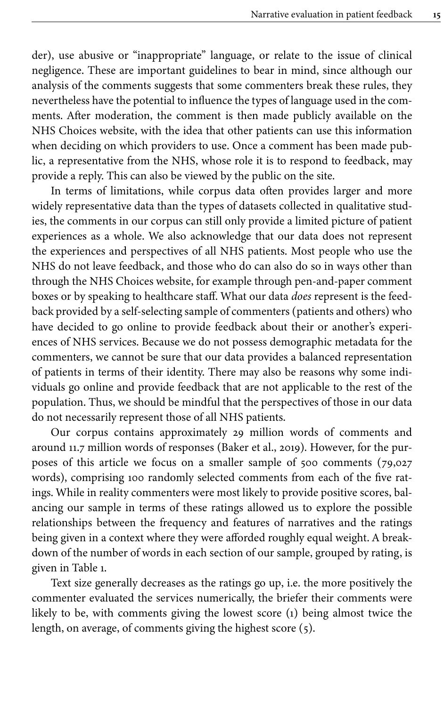der), use abusive or "inappropriate" language, or relate to the issue of clinical negligence. These are important guidelines to bear in mind, since although our analysis of the comments suggests that some commenters break these rules, they nevertheless have the potential to influence the types of language used in the comments. After moderation, the comment is then made publicly available on the NHS Choices website, with the idea that other patients can use this information when deciding on which providers to use. Once a comment has been made public, a representative from the NHS, whose role it is to respond to feedback, may provide a reply. This can also be viewed by the public on the site.

In terms of limitations, while corpus data often provides larger and more widely representative data than the types of datasets collected in qualitative studies, the comments in our corpus can still only provide a limited picture of patient experiences as a whole. We also acknowledge that our data does not represent the experiences and perspectives of all NHS patients. Most people who use the NHS do not leave feedback, and those who do can also do so in ways other than through the NHS Choices website, for example through pen-and-paper comment boxes or by speaking to healthcare staff. What our data *does* represent is the feedback provided by a self-selecting sample of commenters (patients and others) who have decided to go online to provide feedback about their or another's experiences of NHS services. Because we do not possess demographic metadata for the commenters, we cannot be sure that our data provides a balanced representation of patients in terms of their identity. There may also be reasons why some individuals go online and provide feedback that are not applicable to the rest of the population. Thus, we should be mindful that the perspectives of those in our data do not necessarily represent those of all NHS patients.

Our corpus contains approximately 29 million words of comments and around 11.7 million words of responses ([Baker et](#page-23-2) al., 2019). However, for the purposes of this article we focus on a smaller sample of 500 comments (79,027 words), comprising 100 randomly selected comments from each of the five ratings. While in reality commenters were most likely to provide positive scores, balancing our sample in terms of these ratings allowed us to explore the possible relationships between the frequency and features of narratives and the ratings being given in a context where they were afforded roughly equal weight. A breakdown of the number of words in each section of our sample, grouped by rating, is given in [Table](#page-7-0) 1.

Text size generally decreases as the ratings go up, i.e. the more positively the commenter evaluated the services numerically, the briefer their comments were likely to be, with comments giving the lowest score (1) being almost twice the length, on average, of comments giving the highest score (5).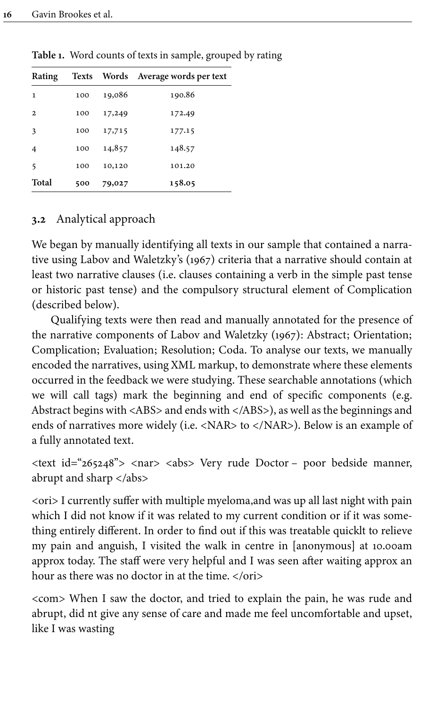| Rating       |     |        | Texts Words Average words per text |
|--------------|-----|--------|------------------------------------|
| 1            | 100 | 19,086 | 190.86                             |
| $\mathbf{2}$ | 100 | 17,249 | 172.49                             |
| 3            | 100 | 17,715 | 177.15                             |
| 4            | 100 | 14,857 | 148.57                             |
| 5            | 100 | 10,120 | 101.20                             |
| Total        | 500 | 79,027 | 158.05                             |

<span id="page-7-0"></span>**Table 1.** Word counts of texts in sample, grouped by rating

# **3.2** Analytical approach

We began by manually identifying all texts in our sample that contained a narrative using [Labov and Waletzky's \(1967\)](#page-24-0) criteria that a narrative should contain at least two narrative clauses (i.e. clauses containing a verb in the simple past tense or historic past tense) and the compulsory structural element of Complication (described below).

Qualifying texts were then read and manually annotated for the presence of the narrative components of [Labov and Waletzky \(1967\):](#page-24-0) Abstract; Orientation; Complication; Evaluation; Resolution; Coda. To analyse our texts, we manually encoded the narratives, using XML markup, to demonstrate where these elements occurred in the feedback we were studying. These searchable annotations (which we will call tags) mark the beginning and end of specific components (e.g. Abstract begins with <ABS> and ends with </ABS>), as well as the beginnings and ends of narratives more widely (i.e. <NAR> to </NAR>). Below is an example of a fully annotated text.

<text id="265248"> <nar> <abs> Very rude Doctor – poor bedside manner, abrupt and sharp  $\langle$  /abs>

<ori> I currently suffer with multiple myeloma,and was up all last night with pain which I did not know if it was related to my current condition or if it was something entirely different. In order to find out if this was treatable quicklt to relieve my pain and anguish, I visited the walk in centre in [anonymous] at 10.00am approx today. The staff were very helpful and I was seen after waiting approx an hour as there was no doctor in at the time. </ori>

<com> When I saw the doctor, and tried to explain the pain, he was rude and abrupt, did nt give any sense of care and made me feel uncomfortable and upset, like I was wasting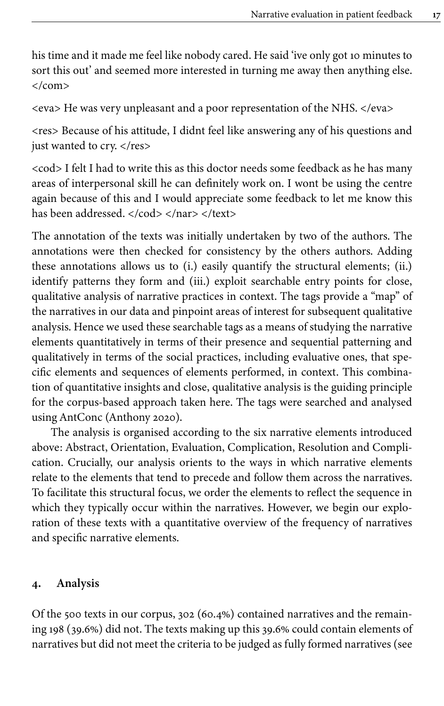his time and it made me feel like nobody cared. He said 'ive only got 10 minutes to sort this out' and seemed more interested in turning me away then anything else. </com>

<eva> He was very unpleasant and a poor representation of the NHS. </eva>

<res> Because of his attitude, I didnt feel like answering any of his questions and just wanted to cry. </res>

<cod> I felt I had to write this as this doctor needs some feedback as he has many areas of interpersonal skill he can definitely work on. I wont be using the centre again because of this and I would appreciate some feedback to let me know this has been addressed. </cod> </nar> </text>

The annotation of the texts was initially undertaken by two of the authors. The annotations were then checked for consistency by the others authors. Adding these annotations allows us to (i.) easily quantify the structural elements; (ii.) identify patterns they form and (iii.) exploit searchable entry points for close, qualitative analysis of narrative practices in context. The tags provide a "map" of the narratives in our data and pinpoint areas of interest for subsequent qualitative analysis. Hence we used these searchable tags as a means of studying the narrative elements quantitatively in terms of their presence and sequential patterning and qualitatively in terms of the social practices, including evaluative ones, that specific elements and sequences of elements performed, in context. This combination of quantitative insights and close, qualitative analysis is the guiding principle for the corpus-based approach taken here. The tags were searched and analysed using AntConc ([Anthony 2020\)](#page-23-4).

The analysis is organised according to the six narrative elements introduced above: Abstract, Orientation, Evaluation, Complication, Resolution and Complication. Crucially, our analysis orients to the ways in which narrative elements relate to the elements that tend to precede and follow them across the narratives. To facilitate this structural focus, we order the elements to reflect the sequence in which they typically occur within the narratives. However, we begin our exploration of these texts with a quantitative overview of the frequency of narratives and specific narrative elements.

## **4. Analysis**

Of the 500 texts in our corpus, 302 (60.4%) contained narratives and the remaining 198 (39.6%) did not. The texts making up this 39.6% could contain elements of narratives but did not meet the criteria to be judged as fully formed narratives (see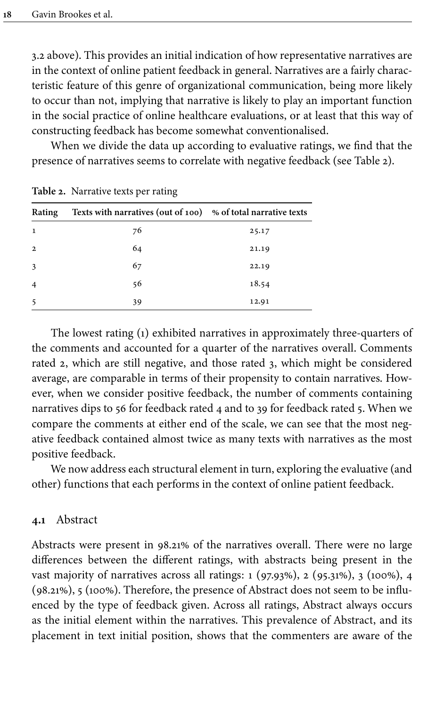3.2 above). This provides an initial indication of how representative narratives are in the context of online patient feedback in general. Narratives are a fairly characteristic feature of this genre of organizational communication, being more likely to occur than not, implying that narrative is likely to play an important function in the social practice of online healthcare evaluations, or at least that this way of constructing feedback has become somewhat conventionalised.

When we divide the data up according to evaluative ratings, we find that the presence of narratives seems to correlate with negative feedback (see [Table](#page-9-0) 2).

| Rating         | Texts with narratives (out of 100) % of total narrative texts |       |
|----------------|---------------------------------------------------------------|-------|
| 1              | 76                                                            | 25.17 |
| $\overline{2}$ | 64                                                            | 21.19 |
| 3              | 67                                                            | 22.19 |
| $\overline{4}$ | 56                                                            | 18.54 |
| 5              | 39                                                            | 12.91 |

<span id="page-9-0"></span>**Table 2.** Narrative texts per rating

The lowest rating (1) exhibited narratives in approximately three-quarters of the comments and accounted for a quarter of the narratives overall. Comments rated 2, which are still negative, and those rated 3, which might be considered average, are comparable in terms of their propensity to contain narratives. However, when we consider positive feedback, the number of comments containing narratives dips to 56 for feedback rated 4 and to 39 for feedback rated 5. When we compare the comments at either end of the scale, we can see that the most negative feedback contained almost twice as many texts with narratives as the most positive feedback.

We now address each structural element in turn, exploring the evaluative (and other) functions that each performs in the context of online patient feedback.

#### **4.1** Abstract

Abstracts were present in 98.21% of the narratives overall. There were no large differences between the different ratings, with abstracts being present in the vast majority of narratives across all ratings: 1 (97.93%), 2 (95.31%), 3 (100%), 4 (98.21%), 5 (100%). Therefore, the presence of Abstract does not seem to be influenced by the type of feedback given. Across all ratings, Abstract always occurs as the initial element within the narratives. This prevalence of Abstract, and its placement in text initial position, shows that the commenters are aware of the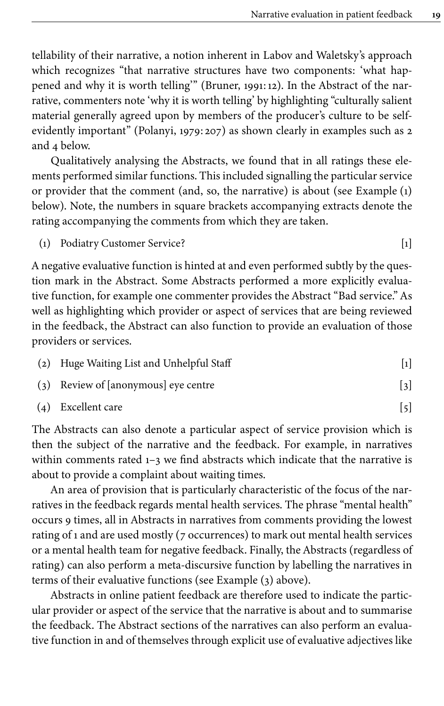tellability of their narrative, a notion inherent in Labov and Waletsky's approach which recognizes "that narrative structures have two components: 'what happened and why it is worth telling'" [\(Bruner, 1991](#page-24-15):12). In the Abstract of the narrative, commenters note 'why it is worth telling' by highlighting "culturally salient material generally agreed upon by members of the producer's culture to be selfevidently important" ([Polanyi, 1979:](#page-25-5) 207) as shown clearly in examples such as 2 and 4 below.

Qualitatively analysing the Abstracts, we found that in all ratings these elements performed similar functions. This included signalling the particular service or provider that the comment (and, so, the narrative) is about (see Example [\(1\)](#page-10-0) below). Note, the numbers in square brackets accompanying extracts denote the rating accompanying the comments from which they are taken.

<span id="page-10-0"></span>(1) Podiatry Customer Service? [1]

A negative evaluative function is hinted at and even performed subtly by the question mark in the Abstract. Some Abstracts performed a more explicitly evaluative function, for example one commenter provides the Abstract "Bad service." As well as highlighting which provider or aspect of services that are being reviewed in the feedback, the Abstract can also function to provide an evaluation of those providers or services.

| (2) Huge Waiting List and Unhelpful Staff |  |
|-------------------------------------------|--|
| $(3)$ Review of [anonymous] eye centre    |  |

<span id="page-10-1"></span>
$$
(4)     Excellent care
$$
    
$$
(5)
$$

The Abstracts can also denote a particular aspect of service provision which is then the subject of the narrative and the feedback. For example, in narratives within comments rated 1-3 we find abstracts which indicate that the narrative is about to provide a complaint about waiting times.

An area of provision that is particularly characteristic of the focus of the narratives in the feedback regards mental health services. The phrase "mental health" occurs 9 times, all in Abstracts in narratives from comments providing the lowest rating of 1 and are used mostly (7 occurrences) to mark out mental health services or a mental health team for negative feedback. Finally, the Abstracts (regardless of rating) can also perform a meta-discursive function by labelling the narratives in terms of their evaluative functions (see Example ([3\)](#page-10-1) above).

Abstracts in online patient feedback are therefore used to indicate the particular provider or aspect of the service that the narrative is about and to summarise the feedback. The Abstract sections of the narratives can also perform an evaluative function in and of themselves through explicit use of evaluative adjectives like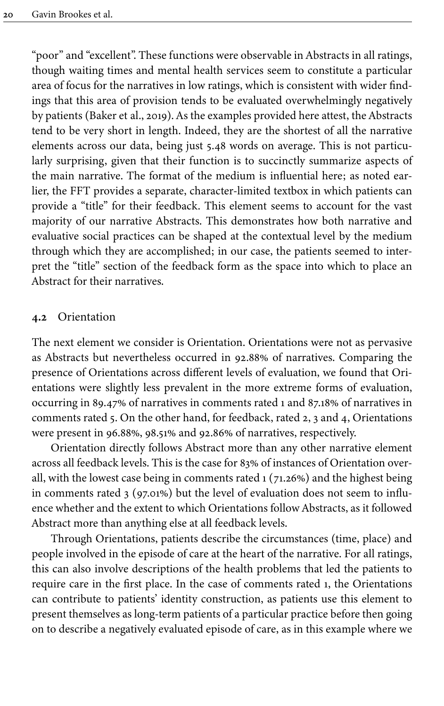"poor" and "excellent". These functions were observable in Abstracts in all ratings, though waiting times and mental health services seem to constitute a particular area of focus for the narratives in low ratings, which is consistent with wider findings that this area of provision tends to be evaluated overwhelmingly negatively by patients ([Baker et](#page-23-2) al., 2019). As the examples provided here attest, the Abstracts tend to be very short in length. Indeed, they are the shortest of all the narrative elements across our data, being just 5.48 words on average. This is not particularly surprising, given that their function is to succinctly summarize aspects of the main narrative. The format of the medium is influential here; as noted earlier, the FFT provides a separate, character-limited textbox in which patients can provide a "title" for their feedback. This element seems to account for the vast majority of our narrative Abstracts. This demonstrates how both narrative and evaluative social practices can be shaped at the contextual level by the medium through which they are accomplished; in our case, the patients seemed to interpret the "title" section of the feedback form as the space into which to place an Abstract for their narratives.

#### **4.2** Orientation

The next element we consider is Orientation. Orientations were not as pervasive as Abstracts but nevertheless occurred in 92.88% of narratives. Comparing the presence of Orientations across different levels of evaluation, we found that Orientations were slightly less prevalent in the more extreme forms of evaluation, occurring in 89.47% of narratives in comments rated 1 and 87.18% of narratives in comments rated 5. On the other hand, for feedback, rated 2, 3 and 4, Orientations were present in 96.88%, 98.51% and 92.86% of narratives, respectively.

Orientation directly follows Abstract more than any other narrative element across all feedback levels. This is the case for 83% of instances of Orientation overall, with the lowest case being in comments rated 1 (71.26%) and the highest being in comments rated 3 (97.01%) but the level of evaluation does not seem to influence whether and the extent to which Orientations follow Abstracts, as it followed Abstract more than anything else at all feedback levels.

Through Orientations, patients describe the circumstances (time, place) and people involved in the episode of care at the heart of the narrative. For all ratings, this can also involve descriptions of the health problems that led the patients to require care in the first place. In the case of comments rated 1, the Orientations can contribute to patients' identity construction, as patients use this element to present themselves as long-term patients of a particular practice before then going on to describe a negatively evaluated episode of care, as in this example where we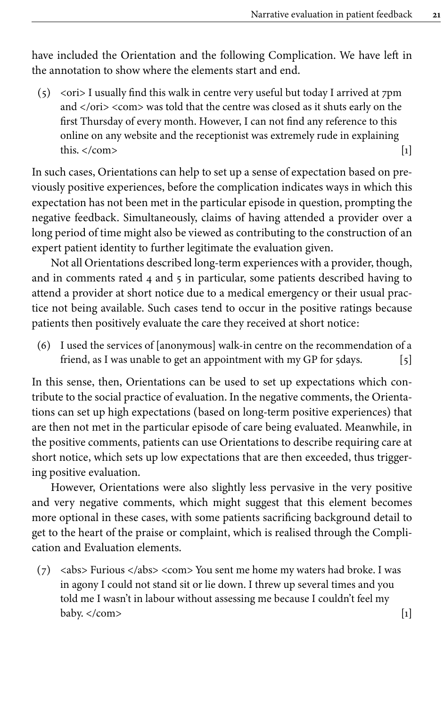have included the Orientation and the following Complication. We have left in the annotation to show where the elements start and end.

(5) <ori> I usually find this walk in centre very useful but today I arrived at 7pm and </ori> <com> was told that the centre was closed as it shuts early on the first Thursday of every month. However, I can not find any reference to this online on any website and the receptionist was extremely rude in explaining this.  $\langle \text{com}\rangle$  [1]

In such cases, Orientations can help to set up a sense of expectation based on previously positive experiences, before the complication indicates ways in which this expectation has not been met in the particular episode in question, prompting the negative feedback. Simultaneously, claims of having attended a provider over a long period of time might also be viewed as contributing to the construction of an expert patient identity to further legitimate the evaluation given.

Not all Orientations described long-term experiences with a provider, though, and in comments rated 4 and 5 in particular, some patients described having to attend a provider at short notice due to a medical emergency or their usual practice not being available. Such cases tend to occur in the positive ratings because patients then positively evaluate the care they received at short notice:

(6) I used the services of [anonymous] walk-in centre on the recommendation of a friend, as I was unable to get an appointment with my GP for 5days. [5]

In this sense, then, Orientations can be used to set up expectations which contribute to the social practice of evaluation. In the negative comments, the Orientations can set up high expectations (based on long-term positive experiences) that are then not met in the particular episode of care being evaluated. Meanwhile, in the positive comments, patients can use Orientations to describe requiring care at short notice, which sets up low expectations that are then exceeded, thus triggering positive evaluation.

However, Orientations were also slightly less pervasive in the very positive and very negative comments, which might suggest that this element becomes more optional in these cases, with some patients sacrificing background detail to get to the heart of the praise or complaint, which is realised through the Complication and Evaluation elements.

(7) <abs> Furious </abs> <com> You sent me home my waters had broke. I was in agony I could not stand sit or lie down. I threw up several times and you told me I wasn't in labour without assessing me because I couldn't feel my baby.  $\langle \text{com}\rangle$  [1]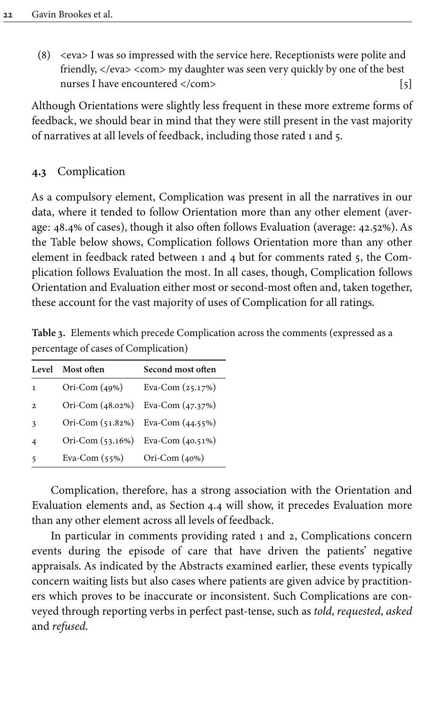(8) <eva> I was so impressed with the service here. Receptionists were polite and friendly, </eva> <com> my daughter was seen very quickly by one of the best nurses I have encountered </com> [5]

Although Orientations were slightly less frequent in these more extreme forms of feedback, we should bear in mind that they were still present in the vast majority of narratives at all levels of feedback, including those rated 1 and 5.

## **4.3** Complication

As a compulsory element, Complication was present in all the narratives in our data, where it tended to follow Orientation more than any other element (average: 48.4% of cases), though it also often follows Evaluation (average: 42.52%). As the Table below shows, Complication follows Orientation more than any other element in feedback rated between 1 and 4 but for comments rated 5, the Complication follows Evaluation the most. In all cases, though, Complication follows Orientation and Evaluation either most or second-most often and, taken together, these account for the vast majority of uses of Complication for all ratings.

| Level          | Most often       | Second most often                 |
|----------------|------------------|-----------------------------------|
| $\mathbf{1}$   | Ori-Com $(49%)$  | Eva-Com $(25.17%)$                |
| $\overline{2}$ | Ori-Com (48.02%) | Eva-Com $(47.37%)$                |
| $\overline{3}$ |                  | Ori-Com (51.82%) Eva-Com (44.55%) |
| $\overline{4}$ |                  | Ori-Com (53.16%) Eva-Com (40.51%) |
| 5              | Eva-Com $(55%)$  | Ori-Com $(40%)$                   |

**Table 3.** Elements which precede Complication across the comments (expressed as a percentage of cases of Complication)

Complication, therefore, has a strong association with the Orientation and Evaluation elements and, as [Section](#page-14-0) 4.4 will show, it precedes Evaluation more than any other element across all levels of feedback.

In particular in comments providing rated 1 and 2, Complications concern events during the episode of care that have driven the patients' negative appraisals. As indicated by the Abstracts examined earlier, these events typically concern waiting lists but also cases where patients are given advice by practitioners which proves to be inaccurate or inconsistent. Such Complications are conveyed through reporting verbs in perfect past-tense, such as *told*, *requested*, *asked* and *refused*.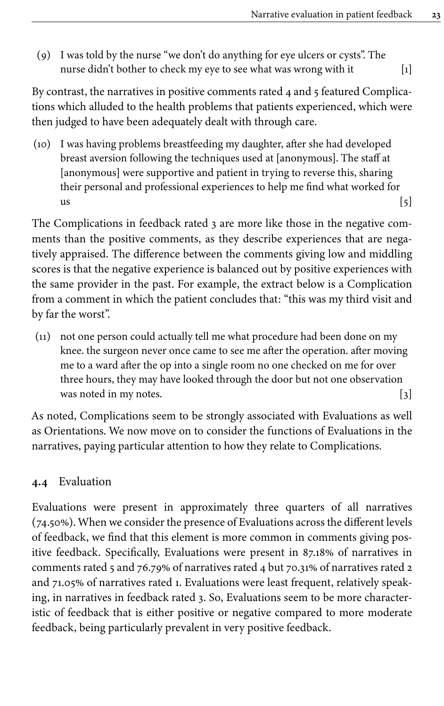(9) I was told by the nurse "we don't do anything for eye ulcers or cysts". The nurse didn't bother to check my eye to see what was wrong with it [1]

By contrast, the narratives in positive comments rated 4 and 5 featured Complications which alluded to the health problems that patients experienced, which were then judged to have been adequately dealt with through care.

(10) I was having problems breastfeeding my daughter, after she had developed breast aversion following the techniques used at [anonymous]. The staff at [anonymous] were supportive and patient in trying to reverse this, sharing their personal and professional experiences to help me find what worked for  $\left[5\right]$ 

The Complications in feedback rated 3 are more like those in the negative comments than the positive comments, as they describe experiences that are negatively appraised. The difference between the comments giving low and middling scores is that the negative experience is balanced out by positive experiences with the same provider in the past. For example, the extract below is a Complication from a comment in which the patient concludes that: "this was my third visit and by far the worst".

(11) not one person could actually tell me what procedure had been done on my knee. the surgeon never once came to see me after the operation. after moving me to a ward after the op into a single room no one checked on me for over three hours, they may have looked through the door but not one observation was noted in my notes. [3]

As noted, Complications seem to be strongly associated with Evaluations as well as Orientations. We now move on to consider the functions of Evaluations in the narratives, paying particular attention to how they relate to Complications.

# <span id="page-14-0"></span>**4.4** Evaluation

Evaluations were present in approximately three quarters of all narratives (74.50%). When we consider the presence of Evaluations across the different levels of feedback, we find that this element is more common in comments giving positive feedback. Specifically, Evaluations were present in 87.18% of narratives in comments rated 5 and 76.79% of narratives rated 4 but 70.31% of narratives rated 2 and 71.05% of narratives rated 1. Evaluations were least frequent, relatively speaking, in narratives in feedback rated 3. So, Evaluations seem to be more characteristic of feedback that is either positive or negative compared to more moderate feedback, being particularly prevalent in very positive feedback.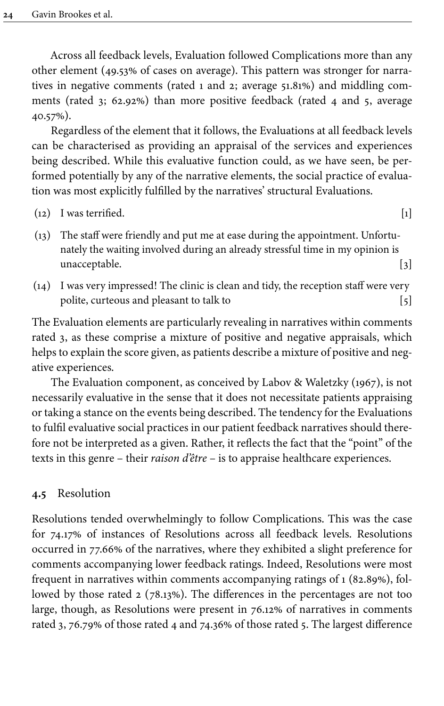Across all feedback levels, Evaluation followed Complications more than any other element (49.53% of cases on average). This pattern was stronger for narratives in negative comments (rated 1 and 2; average 51.81%) and middling comments (rated 3; 62.92%) than more positive feedback (rated 4 and 5, average 40.57%).

Regardless of the element that it follows, the Evaluations at all feedback levels can be characterised as providing an appraisal of the services and experiences being described. While this evaluative function could, as we have seen, be performed potentially by any of the narrative elements, the social practice of evaluation was most explicitly fulfilled by the narratives' structural Evaluations.

- $(12)$  I was terrified.  $[1]$
- (13) The staff were friendly and put me at ease during the appointment. Unfortunately the waiting involved during an already stressful time in my opinion is unacceptable. [3]
- (14) I was very impressed! The clinic is clean and tidy, the reception staff were very polite, curteous and pleasant to talk to  $[5]$

The Evaluation elements are particularly revealing in narratives within comments rated 3, as these comprise a mixture of positive and negative appraisals, which helps to explain the score given, as patients describe a mixture of positive and negative experiences.

The Evaluation component, as conceived by [Labov & Waletzky \(1967\)](#page-24-0), is not necessarily evaluative in the sense that it does not necessitate patients appraising or taking a stance on the events being described. The tendency for the Evaluations to fulfil evaluative social practices in our patient feedback narratives should therefore not be interpreted as a given. Rather, it reflects the fact that the "point" of the texts in this genre – their *raison d'être* – is to appraise healthcare experiences.

#### **4.5** Resolution

Resolutions tended overwhelmingly to follow Complications. This was the case for 74.17% of instances of Resolutions across all feedback levels. Resolutions occurred in 77.66% of the narratives, where they exhibited a slight preference for comments accompanying lower feedback ratings. Indeed, Resolutions were most frequent in narratives within comments accompanying ratings of 1 (82.89%), followed by those rated 2 (78.13%). The differences in the percentages are not too large, though, as Resolutions were present in 76.12% of narratives in comments rated 3, 76.79% of those rated 4 and 74.36% of those rated 5. The largest difference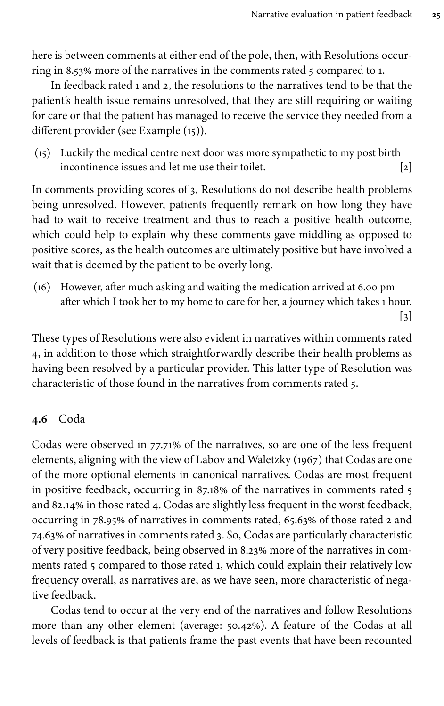here is between comments at either end of the pole, then, with Resolutions occurring in 8.53% more of the narratives in the comments rated 5 compared to 1.

In feedback rated 1 and 2, the resolutions to the narratives tend to be that the patient's health issue remains unresolved, that they are still requiring or waiting for care or that the patient has managed to receive the service they needed from a different provider (see Example [\(15](#page-16-0))).

<span id="page-16-0"></span>(15) Luckily the medical centre next door was more sympathetic to my post birth incontinence issues and let me use their toilet. [2]

In comments providing scores of 3, Resolutions do not describe health problems being unresolved. However, patients frequently remark on how long they have had to wait to receive treatment and thus to reach a positive health outcome, which could help to explain why these comments gave middling as opposed to positive scores, as the health outcomes are ultimately positive but have involved a wait that is deemed by the patient to be overly long.

(16) However, after much asking and waiting the medication arrived at 6.00 pm after which I took her to my home to care for her, a journey which takes 1 hour.  $\lceil 3 \rceil$ 

These types of Resolutions were also evident in narratives within comments rated 4, in addition to those which straightforwardly describe their health problems as having been resolved by a particular provider. This latter type of Resolution was characteristic of those found in the narratives from comments rated 5.

# **4.6** Coda

Codas were observed in 77.71% of the narratives, so are one of the less frequent elements, aligning with the view of [Labov and Waletzky \(1967\)](#page-24-0) that Codas are one of the more optional elements in canonical narratives. Codas are most frequent in positive feedback, occurring in 87.18% of the narratives in comments rated 5 and 82.14% in those rated 4. Codas are slightly less frequent in the worst feedback, occurring in 78.95% of narratives in comments rated, 65.63% of those rated 2 and 74.63% of narratives in comments rated 3. So, Codas are particularly characteristic of very positive feedback, being observed in 8.23% more of the narratives in comments rated 5 compared to those rated 1, which could explain their relatively low frequency overall, as narratives are, as we have seen, more characteristic of negative feedback.

Codas tend to occur at the very end of the narratives and follow Resolutions more than any other element (average: 50.42%). A feature of the Codas at all levels of feedback is that patients frame the past events that have been recounted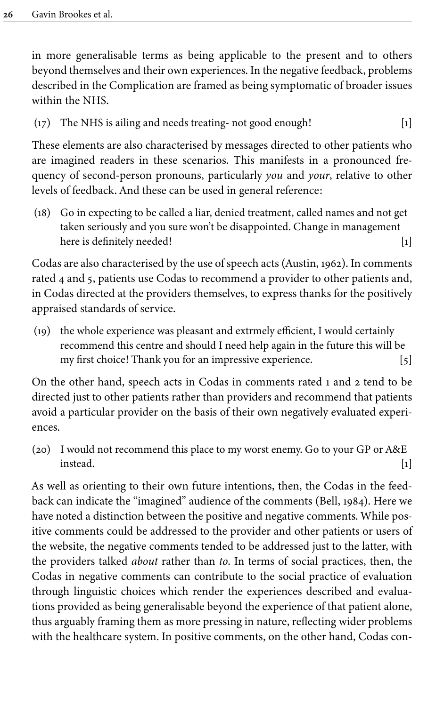in more generalisable terms as being applicable to the present and to others beyond themselves and their own experiences. In the negative feedback, problems described in the Complication are framed as being symptomatic of broader issues within the NHS.

(17) The NHS is ailing and needs treating- not good enough! [1]

These elements are also characterised by messages directed to other patients who are imagined readers in these scenarios. This manifests in a pronounced frequency of second-person pronouns, particularly *you* and *your*, relative to other levels of feedback. And these can be used in general reference:

(18) Go in expecting to be called a liar, denied treatment, called names and not get taken seriously and you sure won't be disappointed. Change in management here is definitely needed!

Codas are also characterised by the use of speech acts [\(Austin, 1962](#page-23-5)). In comments rated 4 and 5, patients use Codas to recommend a provider to other patients and, in Codas directed at the providers themselves, to express thanks for the positively appraised standards of service.

(19) the whole experience was pleasant and extrmely efficient, I would certainly recommend this centre and should I need help again in the future this will be my first choice! Thank you for an impressive experience. [5]

On the other hand, speech acts in Codas in comments rated 1 and 2 tend to be directed just to other patients rather than providers and recommend that patients avoid a particular provider on the basis of their own negatively evaluated experiences.

(20) I would not recommend this place to my worst enemy. Go to your GP or A&E  $i$ nstead.  $[1]$ 

As well as orienting to their own future intentions, then, the Codas in the feedback can indicate the "imagined" audience of the comments ([Bell, 1984](#page-23-6)). Here we have noted a distinction between the positive and negative comments. While positive comments could be addressed to the provider and other patients or users of the website, the negative comments tended to be addressed just to the latter, with the providers talked *about* rather than *to*. In terms of social practices, then, the Codas in negative comments can contribute to the social practice of evaluation through linguistic choices which render the experiences described and evaluations provided as being generalisable beyond the experience of that patient alone, thus arguably framing them as more pressing in nature, reflecting wider problems with the healthcare system. In positive comments, on the other hand, Codas con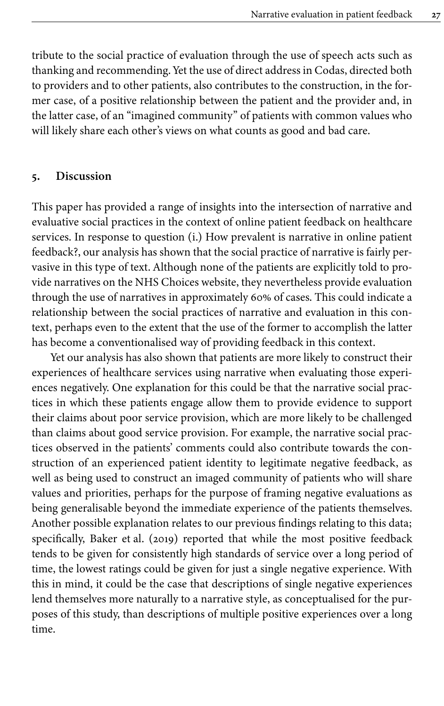tribute to the social practice of evaluation through the use of speech acts such as thanking and recommending. Yet the use of direct address in Codas, directed both to providers and to other patients, also contributes to the construction, in the former case, of a positive relationship between the patient and the provider and, in the latter case, of an "imagined community" of patients with common values who will likely share each other's views on what counts as good and bad care.

## **5. Discussion**

This paper has provided a range of insights into the intersection of narrative and evaluative social practices in the context of online patient feedback on healthcare services. In response to question (i.) How prevalent is narrative in online patient feedback?, our analysis has shown that the social practice of narrative is fairly pervasive in this type of text. Although none of the patients are explicitly told to provide narratives on the NHS Choices website, they nevertheless provide evaluation through the use of narratives in approximately 60% of cases. This could indicate a relationship between the social practices of narrative and evaluation in this context, perhaps even to the extent that the use of the former to accomplish the latter has become a conventionalised way of providing feedback in this context.

Yet our analysis has also shown that patients are more likely to construct their experiences of healthcare services using narrative when evaluating those experiences negatively. One explanation for this could be that the narrative social practices in which these patients engage allow them to provide evidence to support their claims about poor service provision, which are more likely to be challenged than claims about good service provision. For example, the narrative social practices observed in the patients' comments could also contribute towards the construction of an experienced patient identity to legitimate negative feedback, as well as being used to construct an imaged community of patients who will share values and priorities, perhaps for the purpose of framing negative evaluations as being generalisable beyond the immediate experience of the patients themselves. Another possible explanation relates to our previous findings relating to this data; specifically, Baker et [al. \(2019\)](#page-23-2) reported that while the most positive feedback tends to be given for consistently high standards of service over a long period of time, the lowest ratings could be given for just a single negative experience. With this in mind, it could be the case that descriptions of single negative experiences lend themselves more naturally to a narrative style, as conceptualised for the purposes of this study, than descriptions of multiple positive experiences over a long time.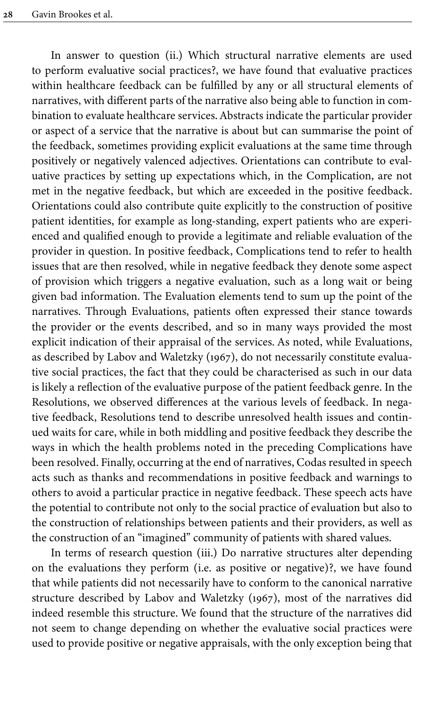In answer to question (ii.) Which structural narrative elements are used to perform evaluative social practices?, we have found that evaluative practices within healthcare feedback can be fulfilled by any or all structural elements of narratives, with different parts of the narrative also being able to function in combination to evaluate healthcare services. Abstracts indicate the particular provider or aspect of a service that the narrative is about but can summarise the point of the feedback, sometimes providing explicit evaluations at the same time through positively or negatively valenced adjectives. Orientations can contribute to evaluative practices by setting up expectations which, in the Complication, are not met in the negative feedback, but which are exceeded in the positive feedback. Orientations could also contribute quite explicitly to the construction of positive patient identities, for example as long-standing, expert patients who are experienced and qualified enough to provide a legitimate and reliable evaluation of the provider in question. In positive feedback, Complications tend to refer to health issues that are then resolved, while in negative feedback they denote some aspect of provision which triggers a negative evaluation, such as a long wait or being given bad information. The Evaluation elements tend to sum up the point of the narratives. Through Evaluations, patients often expressed their stance towards the provider or the events described, and so in many ways provided the most explicit indication of their appraisal of the services. As noted, while Evaluations, as described by [Labov and Waletzky \(1967\)](#page-24-0), do not necessarily constitute evaluative social practices, the fact that they could be characterised as such in our data is likely a reflection of the evaluative purpose of the patient feedback genre. In the Resolutions, we observed differences at the various levels of feedback. In negative feedback, Resolutions tend to describe unresolved health issues and continued waits for care, while in both middling and positive feedback they describe the ways in which the health problems noted in the preceding Complications have been resolved. Finally, occurring at the end of narratives, Codas resulted in speech acts such as thanks and recommendations in positive feedback and warnings to others to avoid a particular practice in negative feedback. These speech acts have the potential to contribute not only to the social practice of evaluation but also to the construction of relationships between patients and their providers, as well as the construction of an "imagined" community of patients with shared values.

In terms of research question (iii.) Do narrative structures alter depending on the evaluations they perform (i.e. as positive or negative)?, we have found that while patients did not necessarily have to conform to the canonical narrative structure described by [Labov and Waletzky \(1967\)](#page-24-0), most of the narratives did indeed resemble this structure. We found that the structure of the narratives did not seem to change depending on whether the evaluative social practices were used to provide positive or negative appraisals, with the only exception being that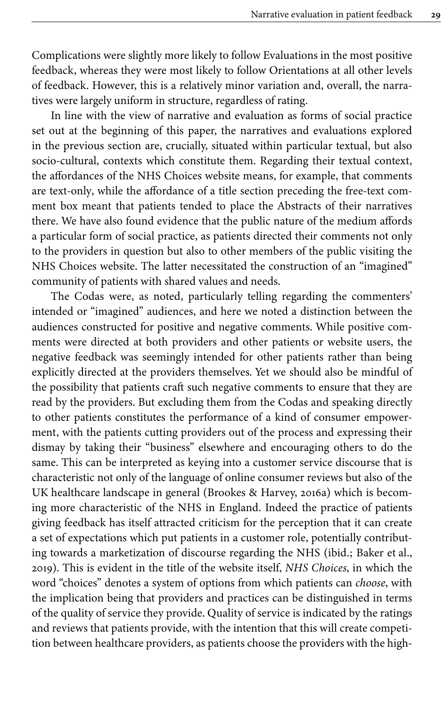Complications were slightly more likely to follow Evaluations in the most positive feedback, whereas they were most likely to follow Orientations at all other levels of feedback. However, this is a relatively minor variation and, overall, the narratives were largely uniform in structure, regardless of rating.

In line with the view of narrative and evaluation as forms of social practice set out at the beginning of this paper, the narratives and evaluations explored in the previous section are, crucially, situated within particular textual, but also socio-cultural, contexts which constitute them. Regarding their textual context, the affordances of the NHS Choices website means, for example, that comments are text-only, while the affordance of a title section preceding the free-text comment box meant that patients tended to place the Abstracts of their narratives there. We have also found evidence that the public nature of the medium affords a particular form of social practice, as patients directed their comments not only to the providers in question but also to other members of the public visiting the NHS Choices website. The latter necessitated the construction of an "imagined" community of patients with shared values and needs.

The Codas were, as noted, particularly telling regarding the commenters' intended or "imagined" audiences, and here we noted a distinction between the audiences constructed for positive and negative comments. While positive comments were directed at both providers and other patients or website users, the negative feedback was seemingly intended for other patients rather than being explicitly directed at the providers themselves. Yet we should also be mindful of the possibility that patients craft such negative comments to ensure that they are read by the providers. But excluding them from the Codas and speaking directly to other patients constitutes the performance of a kind of consumer empowerment, with the patients cutting providers out of the process and expressing their dismay by taking their "business" elsewhere and encouraging others to do the same. This can be interpreted as keying into a customer service discourse that is characteristic not only of the language of online consumer reviews but also of the UK healthcare landscape in general [\(Brookes & Harvey, 2016a](#page-24-16)) which is becoming more characteristic of the NHS in England. Indeed the practice of patients giving feedback has itself attracted criticism for the perception that it can create a set of expectations which put patients in a customer role, potentially contributing towards a marketization of discourse regarding the NHS (ibid.; [Baker et](#page-23-2) al., [2019\)](#page-23-2). This is evident in the title of the website itself, *NHS Choices*, in which the word "choices" denotes a system of options from which patients can *choose*, with the implication being that providers and practices can be distinguished in terms of the quality of service they provide. Quality of service is indicated by the ratings and reviews that patients provide, with the intention that this will create competition between healthcare providers, as patients choose the providers with the high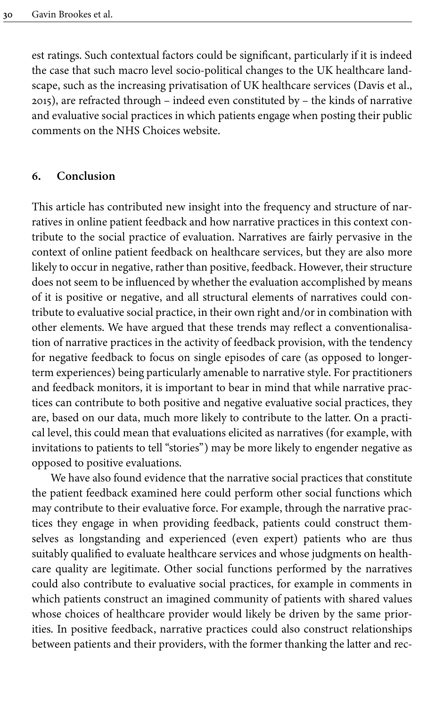est ratings. Such contextual factors could be significant, particularly if it is indeed the case that such macro level socio-political changes to the UK healthcare landscape, such as the increasing privatisation of UK healthcare services ([Davis et](#page-24-17) al., [2015](#page-24-17)), are refracted through – indeed even constituted by – the kinds of narrative and evaluative social practices in which patients engage when posting their public comments on the NHS Choices website.

## **6. Conclusion**

This article has contributed new insight into the frequency and structure of narratives in online patient feedback and how narrative practices in this context contribute to the social practice of evaluation. Narratives are fairly pervasive in the context of online patient feedback on healthcare services, but they are also more likely to occur in negative, rather than positive, feedback. However, their structure does not seem to be influenced by whether the evaluation accomplished by means of it is positive or negative, and all structural elements of narratives could contribute to evaluative social practice, in their own right and/or in combination with other elements. We have argued that these trends may reflect a conventionalisation of narrative practices in the activity of feedback provision, with the tendency for negative feedback to focus on single episodes of care (as opposed to longerterm experiences) being particularly amenable to narrative style. For practitioners and feedback monitors, it is important to bear in mind that while narrative practices can contribute to both positive and negative evaluative social practices, they are, based on our data, much more likely to contribute to the latter. On a practical level, this could mean that evaluations elicited as narratives (for example, with invitations to patients to tell "stories") may be more likely to engender negative as opposed to positive evaluations.

We have also found evidence that the narrative social practices that constitute the patient feedback examined here could perform other social functions which may contribute to their evaluative force. For example, through the narrative practices they engage in when providing feedback, patients could construct themselves as longstanding and experienced (even expert) patients who are thus suitably qualified to evaluate healthcare services and whose judgments on healthcare quality are legitimate. Other social functions performed by the narratives could also contribute to evaluative social practices, for example in comments in which patients construct an imagined community of patients with shared values whose choices of healthcare provider would likely be driven by the same priorities. In positive feedback, narrative practices could also construct relationships between patients and their providers, with the former thanking the latter and rec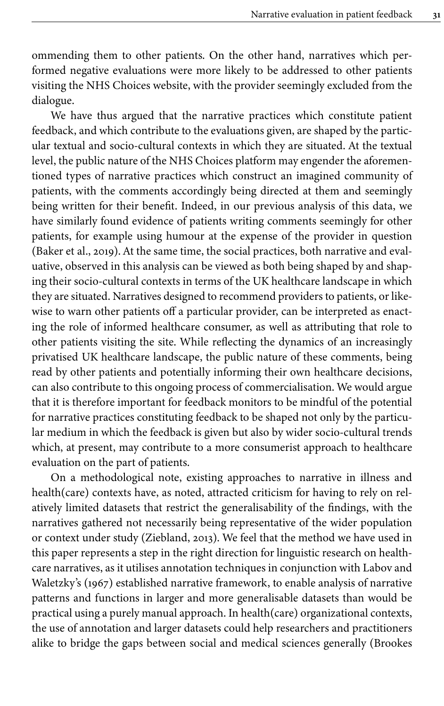ommending them to other patients. On the other hand, narratives which performed negative evaluations were more likely to be addressed to other patients visiting the NHS Choices website, with the provider seemingly excluded from the dialogue.

We have thus argued that the narrative practices which constitute patient feedback, and which contribute to the evaluations given, are shaped by the particular textual and socio-cultural contexts in which they are situated. At the textual level, the public nature of the NHS Choices platform may engender the aforementioned types of narrative practices which construct an imagined community of patients, with the comments accordingly being directed at them and seemingly being written for their benefit. Indeed, in our previous analysis of this data, we have similarly found evidence of patients writing comments seemingly for other patients, for example using humour at the expense of the provider in question [\(Baker et](#page-23-2) al., 2019). At the same time, the social practices, both narrative and evaluative, observed in this analysis can be viewed as both being shaped by and shaping their socio-cultural contexts in terms of the UK healthcare landscape in which they are situated. Narratives designed to recommend providers to patients, or likewise to warn other patients off a particular provider, can be interpreted as enacting the role of informed healthcare consumer, as well as attributing that role to other patients visiting the site. While reflecting the dynamics of an increasingly privatised UK healthcare landscape, the public nature of these comments, being read by other patients and potentially informing their own healthcare decisions, can also contribute to this ongoing process of commercialisation. We would argue that it is therefore important for feedback monitors to be mindful of the potential for narrative practices constituting feedback to be shaped not only by the particular medium in which the feedback is given but also by wider socio-cultural trends which, at present, may contribute to a more consumerist approach to healthcare evaluation on the part of patients.

On a methodological note, existing approaches to narrative in illness and health(care) contexts have, as noted, attracted criticism for having to rely on relatively limited datasets that restrict the generalisability of the findings, with the narratives gathered not necessarily being representative of the wider population or context under study ([Ziebland, 2013](#page-25-4)). We feel that the method we have used in this paper represents a step in the right direction for linguistic research on healthcare narratives, as it utilises annotation techniques in conjunction with [Labov and](#page-24-0) [Waletzky's \(1967\)](#page-24-0) established narrative framework, to enable analysis of narrative patterns and functions in larger and more generalisable datasets than would be practical using a purely manual approach. In health(care) organizational contexts, the use of annotation and larger datasets could help researchers and practitioners alike to bridge the gaps between social and medical sciences generally [\(Brookes](#page-24-18)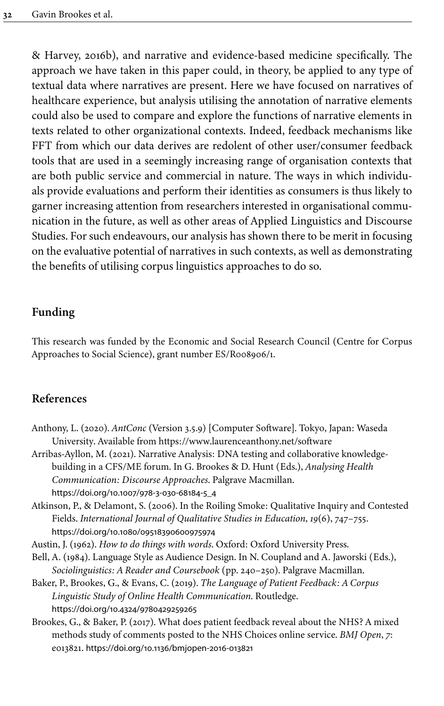[& Harvey, 2016b\)](#page-24-18), and narrative and evidence-based medicine specifically. The approach we have taken in this paper could, in theory, be applied to any type of textual data where narratives are present. Here we have focused on narratives of healthcare experience, but analysis utilising the annotation of narrative elements could also be used to compare and explore the functions of narrative elements in texts related to other organizational contexts. Indeed, feedback mechanisms like FFT from which our data derives are redolent of other user/consumer feedback tools that are used in a seemingly increasing range of organisation contexts that are both public service and commercial in nature. The ways in which individuals provide evaluations and perform their identities as consumers is thus likely to garner increasing attention from researchers interested in organisational communication in the future, as well as other areas of Applied Linguistics and Discourse Studies. For such endeavours, our analysis has shown there to be merit in focusing on the evaluative potential of narratives in such contexts, as well as demonstrating the benefits of utilising corpus linguistics approaches to do so.

# **Funding**

<span id="page-23-7"></span>This research was funded by the Economic and Social Research Council (Centre for Corpus Approaches to Social Science), grant number [ES/R008906/1](#page-23-7).

## **References**

- <span id="page-23-4"></span>Anthony, L. (2020). *AntConc* (Version 3.5.9) [Computer Software]. Tokyo, Japan: Waseda University. Available from <https://www.laurenceanthony.net/software>
- <span id="page-23-0"></span>Arribas-Ayllon, M. (2021). Narrative Analysis: DNA testing and collaborative knowledgebuilding in a CFS/ME forum. In G. Brookes & D. Hunt (Eds.), *Analysing Health Communication: Discourse Approaches*. Palgrave Macmillan. [https://doi.org/10.1007/978-3-030-68184-5\\_4](https://doi.org/10.1007%2F978-3-030-68184-5_4)
- <span id="page-23-1"></span>Atkinson, P., & Delamont, S. (2006). In the Roiling Smoke: Qualitative Inquiry and Contested Fields. *International Journal of Qualitative Studies in Education*, *19*(6), 747–755. [https://doi.org/10.1080/09518390600975974](https://doi.org/10.1080%2F09518390600975974)
- <span id="page-23-5"></span>Austin, J. (1962). *How to do things with words*. Oxford: Oxford University Press.
- <span id="page-23-6"></span>Bell, A. (1984). Language Style as Audience Design. In N. Coupland and A. Jaworski (Eds.), *Sociolinguistics: A Reader and Coursebook* (pp. 240–250). Palgrave Macmillan.
- <span id="page-23-2"></span>Baker, P., Brookes, G., & Evans, C. (2019). *The Language of Patient Feedback: A Corpus Linguistic Study of Online Health Communication*. Routledge. [https://doi.org/10.4324/9780429259265](https://doi.org/10.4324%2F9780429259265)
- <span id="page-23-3"></span>Brookes, G., & Baker, P. (2017). What does patient feedback reveal about the NHS? A mixed methods study of comments posted to the NHS Choices online service. *BMJ Open*, *7*: e013821. [https://doi.org/10.1136/bmjopen-2016-013821](https://doi.org/10.1136%2Fbmjopen-2016-013821)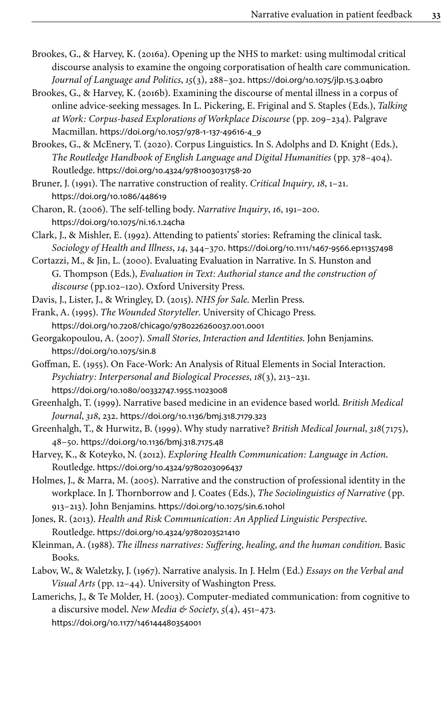- <span id="page-24-16"></span>Brookes, G., & Harvey, K. (2016a). Opening up the NHS to market: using multimodal critical discourse analysis to examine the ongoing corporatisation of health care communication. *Journal of Language and Politics*, *15*(3), 288–302. [https://doi.org/10.1075/jlp.15.3.04bro](https://doi.org/10.1075%2Fjlp.15.3.04bro)
- <span id="page-24-18"></span>Brookes, G., & Harvey, K. (2016b). Examining the discourse of mental illness in a corpus of online advice-seeking messages. In L. Pickering, E. Friginal and S. Staples (Eds.), *Talking at Work: Corpus-based Explorations of Workplace Discourse* (pp. 209–234). Palgrave Macmillan. [https://doi.org/10.1057/978-1-137-49616-4\\_9](https://doi.org/10.1057%2F978-1-137-49616-4_9)
- <span id="page-24-3"></span>Brookes, G., & McEnery, T. (2020). Corpus Linguistics. In S. Adolphs and D. Knight (Eds.), *The Routledge Handbook of English Language and Digital Humanities* (pp. 378–404). Routledge. [https://doi.org/10.4324/9781003031758-20](https://doi.org/10.4324%2F9781003031758-20)
- <span id="page-24-15"></span>Bruner, J. (1991). The narrative construction of reality. *Critical Inquiry*, *18*, 1–21. [https://doi.org/10.1086/448619](https://doi.org/10.1086%2F448619)
- <span id="page-24-6"></span>Charon, R. (2006). The self-telling body. *Narrative Inquiry*, *16*, 191–200. [https://doi.org/10.1075/ni.16.1.24cha](https://doi.org/10.1075%2Fni.16.1.24cha)
- <span id="page-24-10"></span>Clark, J., & Mishler, E. (1992). Attending to patients' stories: Reframing the clinical task. *Sociology of Health and Illness*, *14*, 344–370. [https://doi.org/10.1111/1467-9566.ep11357498](https://doi.org/10.1111%2F1467-9566.ep11357498)
- <span id="page-24-14"></span>Cortazzi, M., & Jin, L. (2000). Evaluating Evaluation in Narrative. In S. Hunston and G. Thompson (Eds.), *Evaluation in Text: Authorial stance and the construction of discourse* (pp.102–120). Oxford University Press.
- <span id="page-24-17"></span>Davis, J., Lister, J., & Wringley, D. (2015). *NHS for Sale*. Merlin Press.
- <span id="page-24-9"></span>Frank, A. (1995). *The Wounded Storyteller*. University of Chicago Press. [https://doi.org/10.7208/chicago/9780226260037.001.0001](https://doi.org/10.7208%2Fchicago%2F9780226260037.001.0001)
- <span id="page-24-1"></span>Georgakopoulou, A. (2007). *Small Stories, Interaction and Identities*. John Benjamins. [https://doi.org/10.1075/sin.8](https://doi.org/10.1075%2Fsin.8)
- <span id="page-24-13"></span>Goffman, E. (1955). On Face-Work: An Analysis of Ritual Elements in Social Interaction. *Psychiatry: Interpersonal and Biological Processes*, *18*(3), 213–231. [https://doi.org/10.1080/00332747.1955.11023008](https://doi.org/10.1080%2F00332747.1955.11023008)
- <span id="page-24-7"></span>Greenhalgh, T. (1999). Narrative based medicine in an evidence based world. *British Medical Journal*, *318*, 232. [https://doi.org/10.1136/bmj.318.7179.323](https://doi.org/10.1136%2Fbmj.318.7179.323)
- <span id="page-24-4"></span>Greenhalgh, T., & Hurwitz, B. (1999). Why study narrative? *British Medical Journal*, *318*(7175), 48–50. [https://doi.org/10.1136/bmj.318.7175.48](https://doi.org/10.1136%2Fbmj.318.7175.48)
- <span id="page-24-5"></span>Harvey, K., & Koteyko, N. (2012). *Exploring Health Communication: Language in Action*. Routledge. [https://doi.org/10.4324/9780203096437](https://doi.org/10.4324%2F9780203096437)
- <span id="page-24-2"></span>Holmes, J., & Marra, M. (2005). Narrative and the construction of professional identity in the workplace. In J. Thornborrow and J. Coates (Eds.), *The Sociolinguistics of Narrative* (pp. 913–213). John Benjamins. [https://doi.org/10.1075/sin.6.10hol](https://doi.org/10.1075%2Fsin.6.10hol)
- <span id="page-24-11"></span>Jones, R. (2013). *Health and Risk Communication: An Applied Linguistic Perspective*. Routledge. [https://doi.org/10.4324/9780203521410](https://doi.org/10.4324%2F9780203521410)
- <span id="page-24-8"></span>Kleinman, A. (1988). *The illness narratives: Suffering, healing, and the human condition*. Basic Books.
- <span id="page-24-0"></span>Labov, W., & Waletzky, J. (1967). Narrative analysis. In J. Helm (Ed.) *Essays on the Verbal and Visual Arts* (pp. 12–44). University of Washington Press.
- <span id="page-24-12"></span>Lamerichs, J., & Te Molder, H. (2003). Computer-mediated communication: from cognitive to a discursive model. *New Media & Society*, *5*(4), 451–473. [https://doi.org/10.1177/146144480354001](https://doi.org/10.1177%2F146144480354001)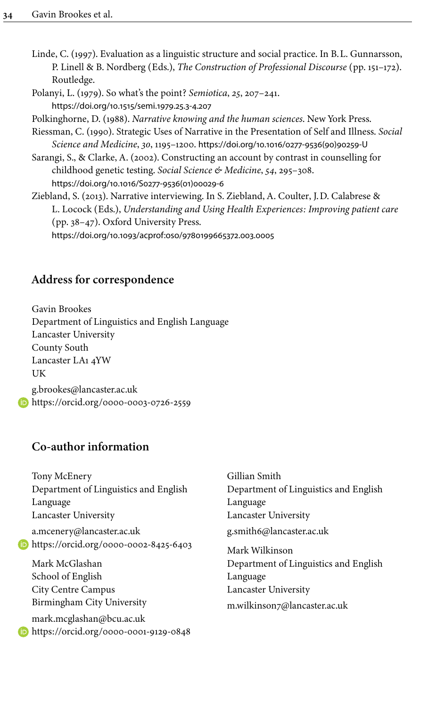- <span id="page-25-0"></span>Linde, C. (1997). Evaluation as a linguistic structure and social practice. In B.L. Gunnarsson, P. Linell & B. Nordberg (Eds.), *The Construction of Professional Discourse* (pp. 151–172). Routledge.
- <span id="page-25-5"></span>Polanyi, L. (1979). So what's the point? *Semiotica*, *25*, 207–241. [https://doi.org/10.1515/semi.1979.25.3-4.207](https://doi.org/10.1515%2Fsemi.1979.25.3-4.207)
- <span id="page-25-2"></span>Polkinghorne, D. (1988). *Narrative knowing and the human sciences*. New York Press.
- <span id="page-25-3"></span>Riessman, C. (1990). Strategic Uses of Narrative in the Presentation of Self and Illness. *Social Science and Medicine*, *30*, 1195–1200. [https://doi.org/10.1016/0277-9536\(90\)90259-U](https://doi.org/10.1016%2F0277-9536%2890%2990259-U)
- <span id="page-25-1"></span>Sarangi, S., & Clarke, A. (2002). Constructing an account by contrast in counselling for childhood genetic testing. *Social Science & Medicine*, *54*, 295–308. [https://doi.org/10.1016/S0277-9536\(01\)00029-6](https://doi.org/10.1016%2FS0277-9536%2801%2900029-6)
- <span id="page-25-4"></span>Ziebland, S. (2013). Narrative interviewing. In S. Ziebland, A. Coulter, J.D. Calabrese & L. Locock (Eds.), *Understanding and Using Health Experiences: Improving patient care* (pp. 38–47). Oxford University Press. [https://doi.org/10.1093/acprof:oso/9780199665372.003.0005](https://doi.org/10.1093%2Facprof%3Aoso%2F9780199665372.003.0005)

## **Address for correspondence**

Gavin Brookes Department of Linguistics and English Language Lancaster University County South Lancaster LA1 4YW UK [g.brookes@lancaster.ac.uk](mailto:g.brookes@lancaster.ac.uk) **<https://orcid.org/0000-0003-0726-2559>** 

## **Co-author information**

|      | Tony McEnery                                    | Gillian Smith                         |
|------|-------------------------------------------------|---------------------------------------|
|      | Department of Linguistics and English           | Department of Linguistics and English |
|      | Language                                        | Language                              |
|      | Lancaster University                            | Lancaster University                  |
|      | a.mcenery@lancaster.ac.uk                       | g.smith6@lancaster.ac.uk              |
| (iD) | https://orcid.org/0000-0002-8425-6403           | Mark Wilkinson                        |
|      | Mark McGlashan                                  | Department of Linguistics and English |
|      | School of English                               | Language                              |
|      | City Centre Campus                              | Lancaster University                  |
|      | Birmingham City University                      | m.wilkinson7@lancaster.ac.uk          |
|      | mark.mcglashan@bcu.ac.uk                        |                                       |
|      | $\bullet$ https://orcid.org/0000-0001-9129-0848 |                                       |